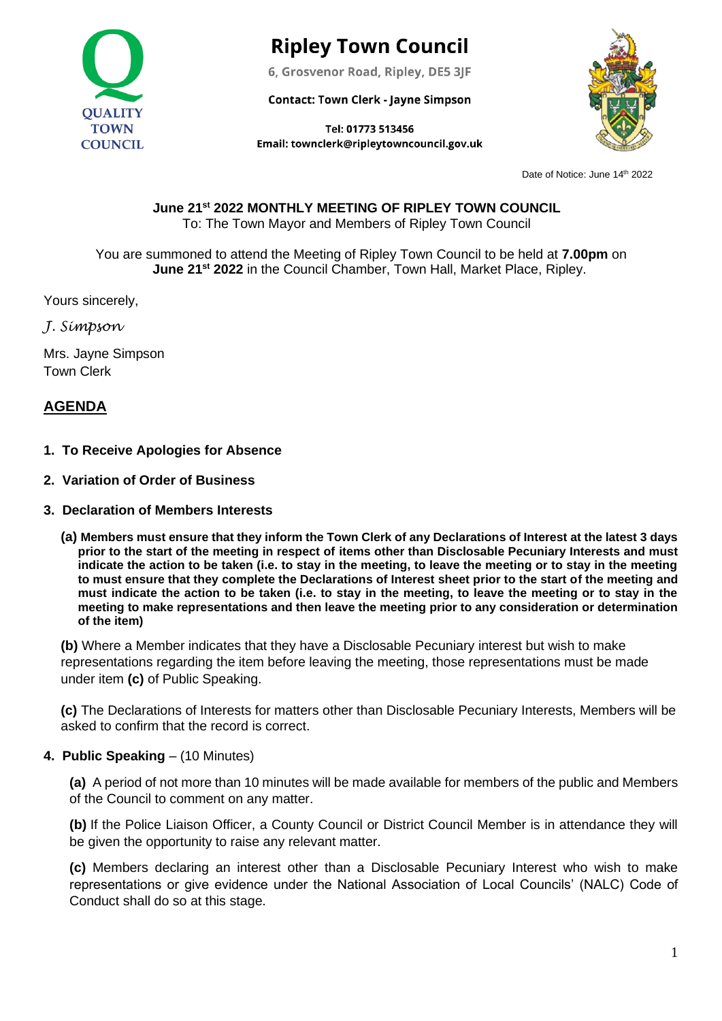

# **Ripley Town Council**

6, Grosvenor Road, Ripley, DE5 3JF

**Contact: Town Clerk - Jayne Simpson** 

Tel: 01773 513456 Email: townclerk@ripleytowncouncil.gov.uk



Date of Notice: June 14th 2022

**June 21st 2022 MONTHLY MEETING OF RIPLEY TOWN COUNCIL** To: The Town Mayor and Members of Ripley Town Council

You are summoned to attend the Meeting of Ripley Town Council to be held at **7.00pm** on **June 21st 2022** in the Council Chamber, Town Hall, Market Place, Ripley.

Yours sincerely,

*J. Simpson*

Mrs. Jayne Simpson Town Clerk

## **AGENDA**

- **1. To Receive Apologies for Absence**
- **2. Variation of Order of Business**
- **3. Declaration of Members Interests**
	- **(a) Members must ensure that they inform the Town Clerk of any Declarations of Interest at the latest 3 days prior to the start of the meeting in respect of items other than Disclosable Pecuniary Interests and must indicate the action to be taken (i.e. to stay in the meeting, to leave the meeting or to stay in the meeting to must ensure that they complete the Declarations of Interest sheet prior to the start of the meeting and must indicate the action to be taken (i.e. to stay in the meeting, to leave the meeting or to stay in the meeting to make representations and then leave the meeting prior to any consideration or determination of the item)**

**(b)** Where a Member indicates that they have a Disclosable Pecuniary interest but wish to make representations regarding the item before leaving the meeting, those representations must be made under item **(c)** of Public Speaking.

**(c)** The Declarations of Interests for matters other than Disclosable Pecuniary Interests, Members will be asked to confirm that the record is correct.

### **4. Public Speaking** – (10 Minutes)

**(a)** A period of not more than 10 minutes will be made available for members of the public and Members of the Council to comment on any matter.

**(b)** If the Police Liaison Officer, a County Council or District Council Member is in attendance they will be given the opportunity to raise any relevant matter.

**(c)** Members declaring an interest other than a Disclosable Pecuniary Interest who wish to make representations or give evidence under the National Association of Local Councils' (NALC) Code of Conduct shall do so at this stage.